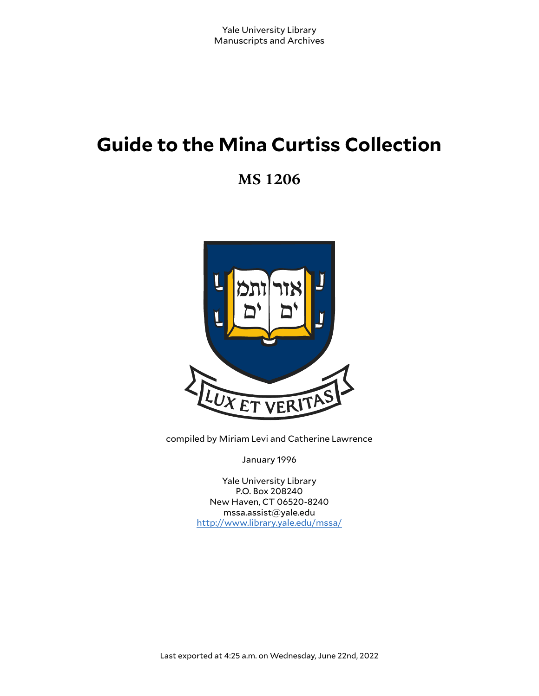# **Guide to the Mina Curtiss Collection**

**MS 1206**



compiled by Miriam Levi and Catherine Lawrence

January 1996

Yale University Library P.O. Box 208240 New Haven, CT 06520-8240 mssa.assist@yale.edu <http://www.library.yale.edu/mssa/>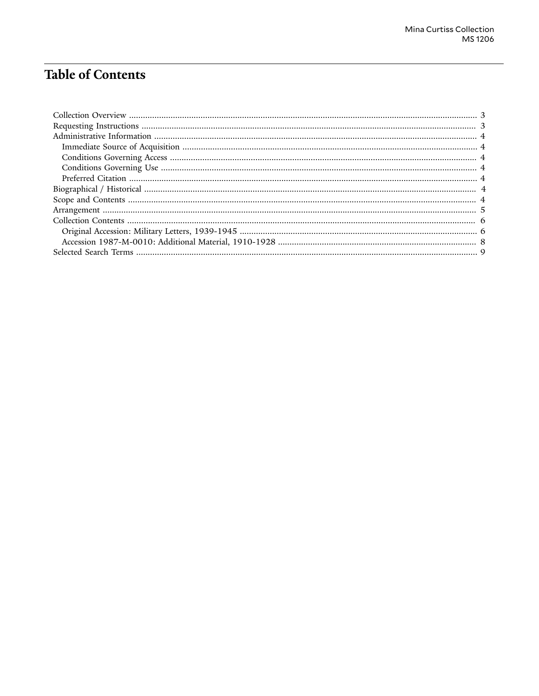# **Table of Contents**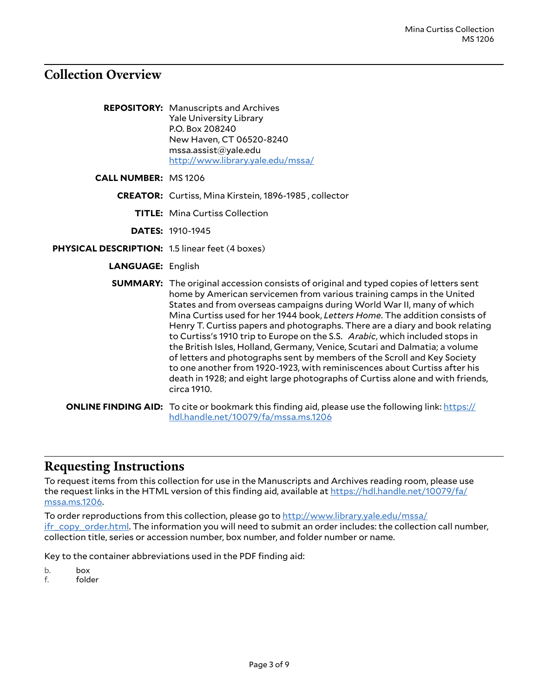## <span id="page-2-0"></span>**Collection Overview**

| <b>REPOSITORY:</b> Manuscripts and Archives |
|---------------------------------------------|
| <b>Yale University Library</b>              |
| P.O. Box 208240                             |
| New Haven, CT 06520-8240                    |
| mssa.assist@yale.edu                        |
| http://www.library.yale.edu/mssa/           |

**CALL NUMBER:** MS 1206

**CREATOR:** Curtiss, Mina Kirstein, 1896-1985 , collector

**TITLE:** Mina Curtiss Collection

**DATES:** 1910-1945

- **PHYSICAL DESCRIPTION:** 1.5 linear feet (4 boxes)
	- **LANGUAGE:** English

| <b>SUMMARY:</b> The original accession consists of original and typed copies of letters sent<br>home by American servicemen from various training camps in the United<br>States and from overseas campaigns during World War II, many of which<br>Mina Curtiss used for her 1944 book, Letters Home. The addition consists of<br>Henry T. Curtiss papers and photographs. There are a diary and book relating<br>to Curtiss's 1910 trip to Europe on the S.S. Arabic, which included stops in<br>the British Isles, Holland, Germany, Venice, Scutari and Dalmatia; a volume<br>of letters and photographs sent by members of the Scroll and Key Society<br>to one another from 1920-1923, with reminiscences about Curtiss after his<br>death in 1928; and eight large photographs of Curtiss alone and with friends,<br>circa 1910. |
|---------------------------------------------------------------------------------------------------------------------------------------------------------------------------------------------------------------------------------------------------------------------------------------------------------------------------------------------------------------------------------------------------------------------------------------------------------------------------------------------------------------------------------------------------------------------------------------------------------------------------------------------------------------------------------------------------------------------------------------------------------------------------------------------------------------------------------------|
| <b>ONLINE FINDING AID:</b> To cite or bookmark this finding aid, please use the following link: https://<br>hdl.handle.net/10079/fa/mssa.ms.1206                                                                                                                                                                                                                                                                                                                                                                                                                                                                                                                                                                                                                                                                                      |

#### <span id="page-2-1"></span>**Requesting Instructions**

To request items from this collection for use in the Manuscripts and Archives reading room, please use the request links in the HTML version of this finding aid, available at [https://hdl.handle.net/10079/fa/](https://hdl.handle.net/10079/fa/mssa.ms.1206) [mssa.ms.1206](https://hdl.handle.net/10079/fa/mssa.ms.1206).

To order reproductions from this collection, please go to [http://www.library.yale.edu/mssa/](http://www.library.yale.edu/mssa/ifr_copy_order.html) [ifr\\_copy\\_order.html.](http://www.library.yale.edu/mssa/ifr_copy_order.html) The information you will need to submit an order includes: the collection call number, collection title, series or accession number, box number, and folder number or name.

Key to the container abbreviations used in the PDF finding aid:

b. box<br>f. fold

folder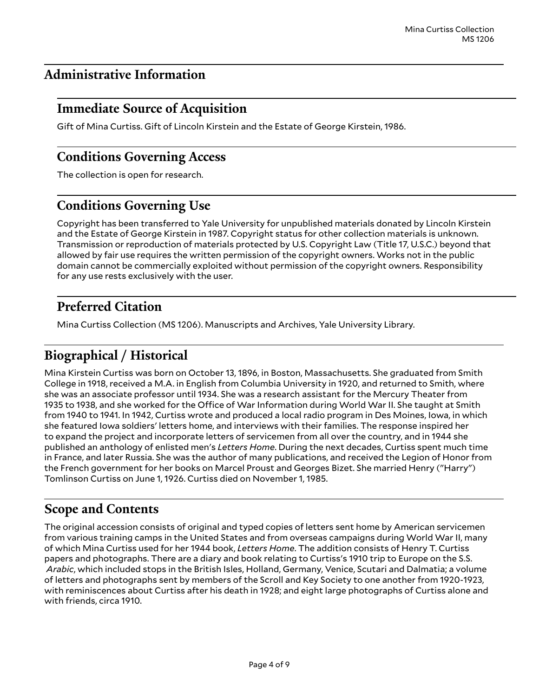## <span id="page-3-0"></span>**Administrative Information**

## <span id="page-3-1"></span>**Immediate Source of Acquisition**

Gift of Mina Curtiss. Gift of Lincoln Kirstein and the Estate of George Kirstein, 1986.

#### <span id="page-3-2"></span>**Conditions Governing Access**

The collection is open for research.

# <span id="page-3-3"></span>**Conditions Governing Use**

Copyright has been transferred to Yale University for unpublished materials donated by Lincoln Kirstein and the Estate of George Kirstein in 1987. Copyright status for other collection materials is unknown. Transmission or reproduction of materials protected by U.S. Copyright Law (Title 17, U.S.C.) beyond that allowed by fair use requires the written permission of the copyright owners. Works not in the public domain cannot be commercially exploited without permission of the copyright owners. Responsibility for any use rests exclusively with the user.

## <span id="page-3-4"></span>**Preferred Citation**

Mina Curtiss Collection (MS 1206). Manuscripts and Archives, Yale University Library.

## <span id="page-3-5"></span>**Biographical / Historical**

Mina Kirstein Curtiss was born on October 13, 1896, in Boston, Massachusetts. She graduated from Smith College in 1918, received a M.A. in English from Columbia University in 1920, and returned to Smith, where she was an associate professor until 1934. She was a research assistant for the Mercury Theater from 1935 to 1938, and she worked for the Office of War Information during World War II. She taught at Smith from 1940 to 1941. In 1942, Curtiss wrote and produced a local radio program in Des Moines, Iowa, in which she featured Iowa soldiers' letters home, and interviews with their families. The response inspired her to expand the project and incorporate letters of servicemen from all over the country, and in 1944 she published an anthology of enlisted men's *Letters Home*. During the next decades, Curtiss spent much time in France, and later Russia. She was the author of many publications, and received the Legion of Honor from the French government for her books on Marcel Proust and Georges Bizet. She married Henry ("Harry") Tomlinson Curtiss on June 1, 1926. Curtiss died on November 1, 1985.

## <span id="page-3-6"></span>**Scope and Contents**

The original accession consists of original and typed copies of letters sent home by American servicemen from various training camps in the United States and from overseas campaigns during World War II, many of which Mina Curtiss used for her 1944 book, *Letters Home*. The addition consists of Henry T. Curtiss papers and photographs. There are a diary and book relating to Curtiss's 1910 trip to Europe on the S.S. *Arabic*, which included stops in the British Isles, Holland, Germany, Venice, Scutari and Dalmatia; a volume of letters and photographs sent by members of the Scroll and Key Society to one another from 1920-1923, with reminiscences about Curtiss after his death in 1928; and eight large photographs of Curtiss alone and with friends, circa 1910.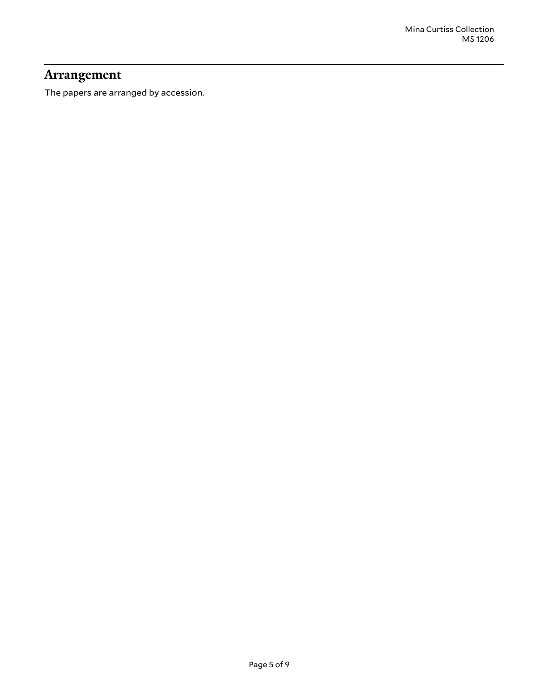## <span id="page-4-0"></span>**Arrangement**

The papers are arranged by accession.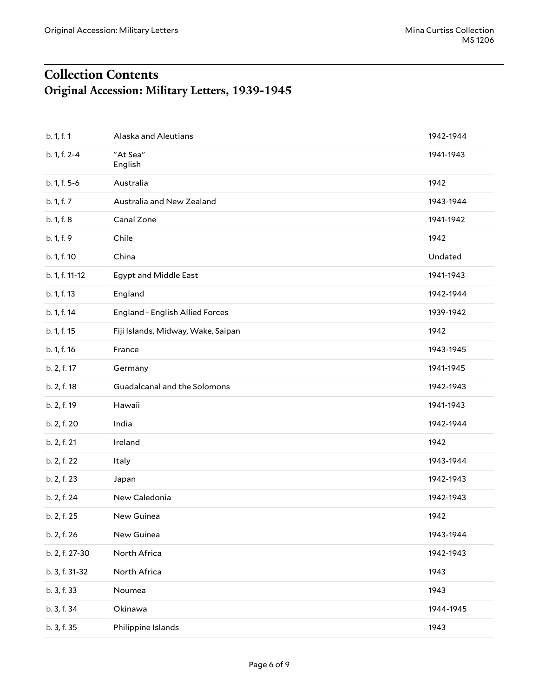# <span id="page-5-1"></span><span id="page-5-0"></span>**Collection Contents Original Accession: Military Letters, 1939-1945**

| b. 1, f. 1     | Alaska and Aleutians               | 1942-1944 |
|----------------|------------------------------------|-----------|
| b. 1, f. 2-4   | "At Sea"<br>English                | 1941-1943 |
| b. 1, f. 5-6   | Australia                          | 1942      |
| b. 1, f. 7     | Australia and New Zealand          | 1943-1944 |
| b. 1, f. 8     | Canal Zone                         | 1941-1942 |
| b. 1, f. 9     | Chile                              | 1942      |
| b. 1, f. 10    | China                              | Undated   |
| b. 1, f. 11-12 | Egypt and Middle East              | 1941-1943 |
| b. 1, f. 13    | England                            | 1942-1944 |
| b. 1, f. 14    | England - English Allied Forces    | 1939-1942 |
| b. 1, f. 15    | Fiji Islands, Midway, Wake, Saipan | 1942      |
| b. 1, f. 16    | France                             | 1943-1945 |
| b. 2, f. 17    | Germany                            | 1941-1945 |
| b. 2, f. 18    | Guadalcanal and the Solomons       | 1942-1943 |
| b. 2, f. 19    | Hawaii                             | 1941-1943 |
| b. 2, f. 20    | India                              | 1942-1944 |
| b. 2, f. 21    | Ireland                            | 1942      |
| b. 2, f. 22    | Italy                              | 1943-1944 |
| b. 2, f. 23    | Japan                              | 1942-1943 |
| b. 2, f. 24    | New Caledonia                      | 1942-1943 |
| b. 2, f. 25    | New Guinea                         | 1942      |
| b. 2, f. 26    | New Guinea                         | 1943-1944 |
| b. 2, f. 27-30 | North Africa                       | 1942-1943 |
| b. 3, f. 31-32 | North Africa                       | 1943      |
| b. 3, f. 33    | Noumea                             | 1943      |
| b. 3, f. 34    | Okinawa                            | 1944-1945 |
| b. 3, f. 35    | Philippine Islands                 | 1943      |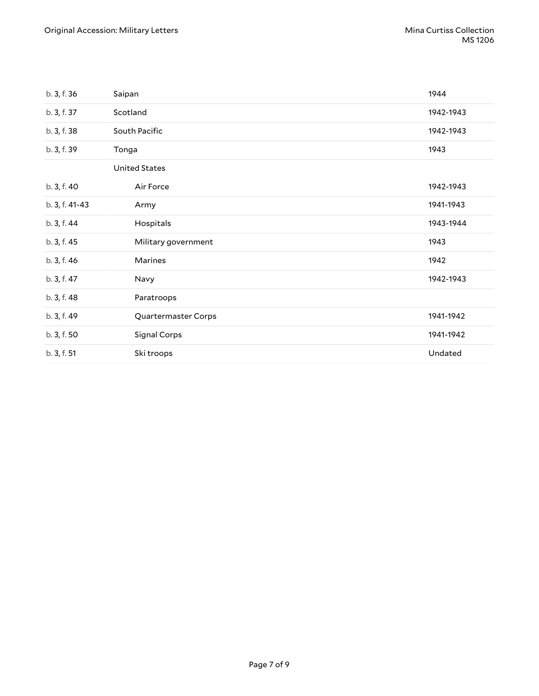| b. 3, f. 36    | Saipan               | 1944      |
|----------------|----------------------|-----------|
| b. 3, f. 37    | Scotland             | 1942-1943 |
| b. 3, f. 38    | South Pacific        | 1942-1943 |
| b. 3, f. 39    | Tonga                | 1943      |
|                | <b>United States</b> |           |
| b. 3, f. 40    | Air Force            | 1942-1943 |
| b. 3, f. 41-43 | Army                 | 1941-1943 |
| b. 3, f. 44    | Hospitals            | 1943-1944 |
| b. 3, f. 45    | Military government  | 1943      |
| b. 3, f. 46    | Marines              | 1942      |
| b. 3, f. 47    | Navy                 | 1942-1943 |
| b. 3, f. 48    | Paratroops           |           |
| b. 3, f. 49    | Quartermaster Corps  | 1941-1942 |
| b. 3, f. 50    | Signal Corps         | 1941-1942 |
| b. 3, f. 51    | Ski troops           | Undated   |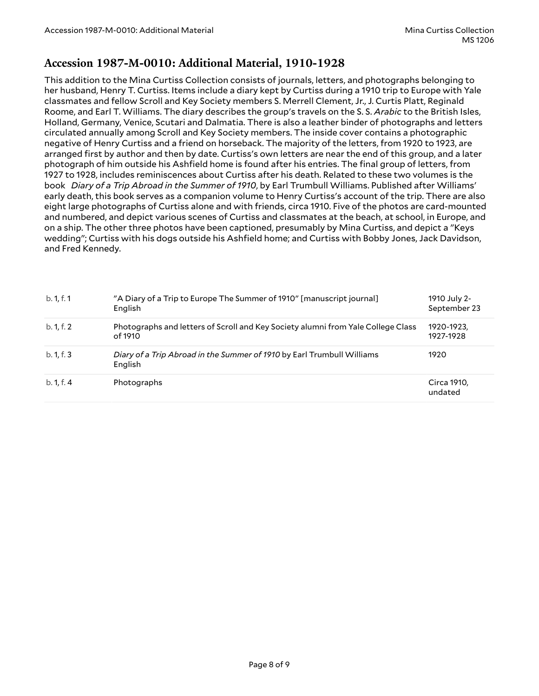#### <span id="page-7-0"></span>**Accession 1987-M-0010: Additional Material, 1910-1928**

This addition to the Mina Curtiss Collection consists of journals, letters, and photographs belonging to her husband, Henry T. Curtiss. Items include a diary kept by Curtiss during a 1910 trip to Europe with Yale classmates and fellow Scroll and Key Society members S. Merrell Clement, Jr., J. Curtis Platt, Reginald Roome, and Earl T. Williams. The diary describes the group's travels on the S. S. *Arabic* to the British Isles, Holland, Germany, Venice, Scutari and Dalmatia. There is also a leather binder of photographs and letters circulated annually among Scroll and Key Society members. The inside cover contains a photographic negative of Henry Curtiss and a friend on horseback. The majority of the letters, from 1920 to 1923, are arranged first by author and then by date. Curtiss's own letters are near the end of this group, and a later photograph of him outside his Ashfield home is found after his entries. The final group of letters, from 1927 to 1928, includes reminiscences about Curtiss after his death. Related to these two volumes is the book *Diary of a Trip Abroad in the Summer of 1910*, by Earl Trumbull Williams. Published after Williams' early death, this book serves as a companion volume to Henry Curtiss's account of the trip. There are also eight large photographs of Curtiss alone and with friends, circa 1910. Five of the photos are card-mounted and numbered, and depict various scenes of Curtiss and classmates at the beach, at school, in Europe, and on a ship. The other three photos have been captioned, presumably by Mina Curtiss, and depict a "Keys wedding"; Curtiss with his dogs outside his Ashfield home; and Curtiss with Bobby Jones, Jack Davidson, and Fred Kennedy.

| b. 1, f. 1 | "A Diary of a Trip to Europe The Summer of 1910" [manuscript journal]<br>English            | 1910 July 2-<br>September 23 |
|------------|---------------------------------------------------------------------------------------------|------------------------------|
| b. 1, f. 2 | Photographs and letters of Scroll and Key Society alumni from Yale College Class<br>of 1910 | 1920-1923.<br>1927-1928      |
| b. 1, f. 3 | Diary of a Trip Abroad in the Summer of 1910 by Earl Trumbull Williams<br>English           | 1920                         |
| b. 1, f. 4 | Photographs                                                                                 | Circa 1910,<br>undated       |